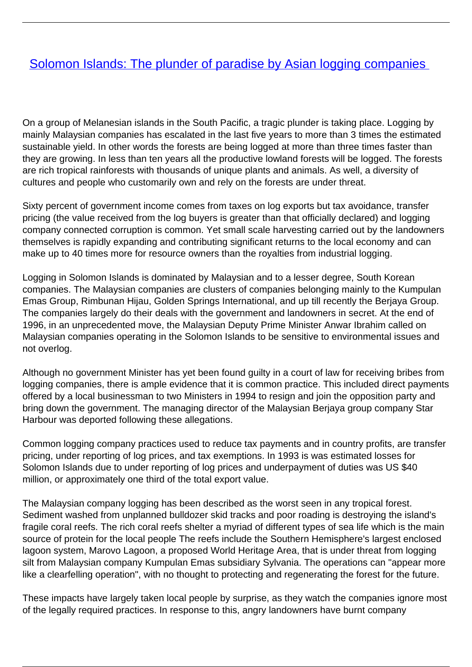## [Solomon Islands: The plunder of paradise by Asian logging companies](/bulletin-articles/solomon-islands-the-plunder-of-paradise-by-asian-logging-companies)

On a group of Melanesian islands in the South Pacific, a tragic plunder is taking place. Logging by mainly Malaysian companies has escalated in the last five years to more than 3 times the estimated sustainable yield. In other words the forests are being logged at more than three times faster than they are growing. In less than ten years all the productive lowland forests will be logged. The forests are rich tropical rainforests with thousands of unique plants and animals. As well, a diversity of cultures and people who customarily own and rely on the forests are under threat.

Sixty percent of government income comes from taxes on log exports but tax avoidance, transfer pricing (the value received from the log buyers is greater than that officially declared) and logging company connected corruption is common. Yet small scale harvesting carried out by the landowners themselves is rapidly expanding and contributing significant returns to the local economy and can make up to 40 times more for resource owners than the royalties from industrial logging.

Logging in Solomon Islands is dominated by Malaysian and to a lesser degree, South Korean companies. The Malaysian companies are clusters of companies belonging mainly to the Kumpulan Emas Group, Rimbunan Hijau, Golden Springs International, and up till recently the Berjaya Group. The companies largely do their deals with the government and landowners in secret. At the end of 1996, in an unprecedented move, the Malaysian Deputy Prime Minister Anwar Ibrahim called on Malaysian companies operating in the Solomon Islands to be sensitive to environmental issues and not overlog.

Although no government Minister has yet been found guilty in a court of law for receiving bribes from logging companies, there is ample evidence that it is common practice. This included direct payments offered by a local businessman to two Ministers in 1994 to resign and join the opposition party and bring down the government. The managing director of the Malaysian Berjaya group company Star Harbour was deported following these allegations.

Common logging company practices used to reduce tax payments and in country profits, are transfer pricing, under reporting of log prices, and tax exemptions. In 1993 is was estimated losses for Solomon Islands due to under reporting of log prices and underpayment of duties was US \$40 million, or approximately one third of the total export value.

The Malaysian company logging has been described as the worst seen in any tropical forest. Sediment washed from unplanned bulldozer skid tracks and poor roading is destroying the island's fragile coral reefs. The rich coral reefs shelter a myriad of different types of sea life which is the main source of protein for the local people The reefs include the Southern Hemisphere's largest enclosed lagoon system, Marovo Lagoon, a proposed World Heritage Area, that is under threat from logging silt from Malaysian company Kumpulan Emas subsidiary Sylvania. The operations can "appear more like a clearfelling operation", with no thought to protecting and regenerating the forest for the future.

These impacts have largely taken local people by surprise, as they watch the companies ignore most of the legally required practices. In response to this, angry landowners have burnt company